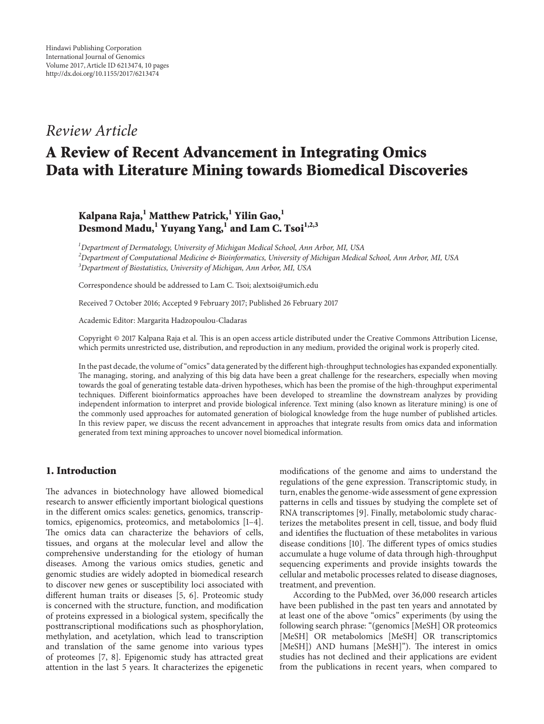# *Review Article*

# **A Review of Recent Advancement in Integrating Omics Data with Literature Mining towards Biomedical Discoveries**

# **Kalpana Raja,1 Matthew Patrick,1 Yilin Gao,1 Desmond Madu,1 Yuyang Yang,<sup>1</sup> and Lam C. Tsoi1,2,3**

*1 Department of Dermatology, University of Michigan Medical School, Ann Arbor, MI, USA 2 Department of Computational Medicine & Bioinformatics, University of Michigan Medical School, Ann Arbor, MI, USA 3 Department of Biostatistics, University of Michigan, Ann Arbor, MI, USA*

Correspondence should be addressed to Lam C. Tsoi; alextsoi@umich.edu

Received 7 October 2016; Accepted 9 February 2017; Published 26 February 2017

Academic Editor: Margarita Hadzopoulou-Cladaras

Copyright © 2017 Kalpana Raja et al. This is an open access article distributed under the Creative Commons Attribution License, which permits unrestricted use, distribution, and reproduction in any medium, provided the original work is properly cited.

In the past decade, the volume of "omics" data generated by the different high-throughput technologies has expanded exponentially. The managing, storing, and analyzing of this big data have been a great challenge for the researchers, especially when moving towards the goal of generating testable data-driven hypotheses, which has been the promise of the high-throughput experimental techniques. Different bioinformatics approaches have been developed to streamline the downstream analyzes by providing independent information to interpret and provide biological inference. Text mining (also known as literature mining) is one of the commonly used approaches for automated generation of biological knowledge from the huge number of published articles. In this review paper, we discuss the recent advancement in approaches that integrate results from omics data and information generated from text mining approaches to uncover novel biomedical information.

### **1. Introduction**

The advances in biotechnology have allowed biomedical research to answer efficiently important biological questions in the different omics scales: genetics, genomics, transcriptomics, epigenomics, proteomics, and metabolomics [\[1](#page-6-0)[–4\]](#page-6-1). The omics data can characterize the behaviors of cells, tissues, and organs at the molecular level and allow the comprehensive understanding for the etiology of human diseases. Among the various omics studies, genetic and genomic studies are widely adopted in biomedical research to discover new genes or susceptibility loci associated with different human traits or diseases [\[5](#page-6-2), [6\]](#page-6-3). Proteomic study is concerned with the structure, function, and modification of proteins expressed in a biological system, specifically the posttranscriptional modifications such as phosphorylation, methylation, and acetylation, which lead to transcription and translation of the same genome into various types of proteomes [\[7,](#page-6-4) [8\]](#page-6-5). Epigenomic study has attracted great attention in the last 5 years. It characterizes the epigenetic

modifications of the genome and aims to understand the regulations of the gene expression. Transcriptomic study, in turn, enables the genome-wide assessment of gene expression patterns in cells and tissues by studying the complete set of RNA transcriptomes [\[9](#page-6-6)]. Finally, metabolomic study characterizes the metabolites present in cell, tissue, and body fluid and identifies the fluctuation of these metabolites in various disease conditions [\[10\]](#page-6-7). The different types of omics studies accumulate a huge volume of data through high-throughput sequencing experiments and provide insights towards the cellular and metabolic processes related to disease diagnoses, treatment, and prevention.

According to the PubMed, over 36,000 research articles have been published in the past ten years and annotated by at least one of the above "omics" experiments (by using the following search phrase: "(genomics [MeSH] OR proteomics [MeSH] OR metabolomics [MeSH] OR transcriptomics [MeSH]) AND humans [MeSH]"). The interest in omics studies has not declined and their applications are evident from the publications in recent years, when compared to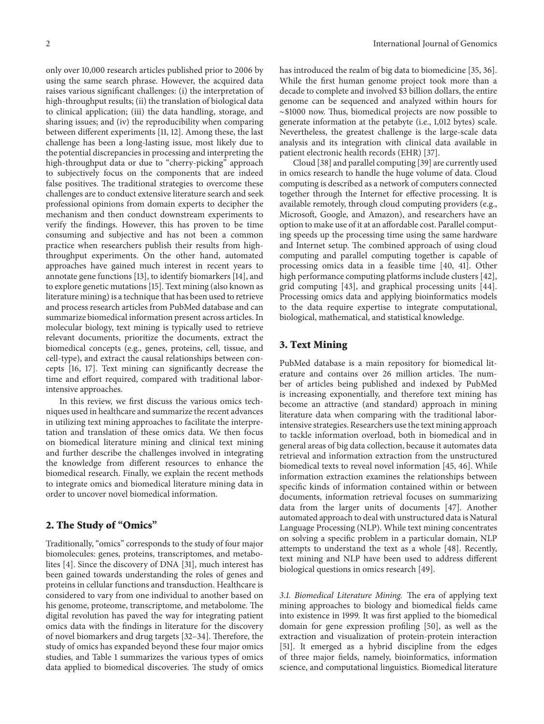only over 10,000 research articles published prior to 2006 by using the same search phrase. However, the acquired data raises various significant challenges: (i) the interpretation of high-throughput results; (ii) the translation of biological data to clinical application; (iii) the data handling, storage, and sharing issues; and (iv) the reproducibility when comparing between different experiments [\[11,](#page-6-8) [12\]](#page-6-9). Among these, the last challenge has been a long-lasting issue, most likely due to the potential discrepancies in processing and interpreting the high-throughput data or due to "cherry-picking" approach to subjectively focus on the components that are indeed false positives. The traditional strategies to overcome these challenges are to conduct extensive literature search and seek professional opinions from domain experts to decipher the mechanism and then conduct downstream experiments to verify the findings. However, this has proven to be time consuming and subjective and has not been a common practice when researchers publish their results from highthroughput experiments. On the other hand, automated approaches have gained much interest in recent years to annotate gene functions [\[13\]](#page-6-10), to identify biomarkers [\[14\]](#page-6-11), and to explore genetic mutations [\[15](#page-6-12)]. Text mining (also known as literature mining) is a technique that has been used to retrieve and process research articles from PubMed database and can summarize biomedical information present across articles. In molecular biology, text mining is typically used to retrieve relevant documents, prioritize the documents, extract the biomedical concepts (e.g., genes, proteins, cell, tissue, and cell-type), and extract the causal relationships between concepts [\[16](#page-6-13), [17](#page-6-14)]. Text mining can significantly decrease the time and effort required, compared with traditional laborintensive approaches.

In this review, we first discuss the various omics techniques used in healthcare and summarize the recent advances in utilizing text mining approaches to facilitate the interpretation and translation of these omics data. We then focus on biomedical literature mining and clinical text mining and further describe the challenges involved in integrating the knowledge from different resources to enhance the biomedical research. Finally, we explain the recent methods to integrate omics and biomedical literature mining data in order to uncover novel biomedical information.

# **2. The Study of "Omics"**

Traditionally, "omics" corresponds to the study of four major biomolecules: genes, proteins, transcriptomes, and metabolites [\[4\]](#page-6-1). Since the discovery of DNA [\[31](#page-7-0)], much interest has been gained towards understanding the roles of genes and proteins in cellular functions and transduction. Healthcare is considered to vary from one individual to another based on his genome, proteome, transcriptome, and metabolome. The digital revolution has paved the way for integrating patient omics data with the findings in literature for the discovery of novel biomarkers and drug targets [\[32](#page-7-1)[–34](#page-7-2)]. Therefore, the study of omics has expanded beyond these four major omics studies, and Table [1](#page-2-0) summarizes the various types of omics data applied to biomedical discoveries. The study of omics

has introduced the realm of big data to biomedicine [\[35,](#page-7-3) [36\]](#page-7-4). While the first human genome project took more than a decade to complete and involved \$3 billion dollars, the entire genome can be sequenced and analyzed within hours for ∼\$1000 now. Thus, biomedical projects are now possible to generate information at the petabyte (i.e., 1,012 bytes) scale. Nevertheless, the greatest challenge is the large-scale data analysis and its integration with clinical data available in patient electronic health records (EHR) [\[37\]](#page-7-5).

Cloud [\[38\]](#page-7-6) and parallel computing [\[39](#page-7-7)] are currently used in omics research to handle the huge volume of data. Cloud computing is described as a network of computers connected together through the Internet for effective processing. It is available remotely, through cloud computing providers (e.g., Microsoft, Google, and Amazon), and researchers have an option to make use of it at an affordable cost. Parallel computing speeds up the processing time using the same hardware and Internet setup. The combined approach of using cloud computing and parallel computing together is capable of processing omics data in a feasible time [\[40,](#page-7-8) [41](#page-7-9)]. Other high performance computing platforms include clusters [\[42](#page-7-10)], grid computing [\[43](#page-7-11)], and graphical processing units [\[44\]](#page-7-12). Processing omics data and applying bioinformatics models to the data require expertise to integrate computational, biological, mathematical, and statistical knowledge.

# **3. Text Mining**

PubMed database is a main repository for biomedical literature and contains over 26 million articles. The number of articles being published and indexed by PubMed is increasing exponentially, and therefore text mining has become an attractive (and standard) approach in mining literature data when comparing with the traditional laborintensive strategies. Researchers use the text mining approach to tackle information overload, both in biomedical and in general areas of big data collection, because it automates data retrieval and information extraction from the unstructured biomedical texts to reveal novel information [\[45](#page-7-13), [46](#page-7-14)]. While information extraction examines the relationships between specific kinds of information contained within or between documents, information retrieval focuses on summarizing data from the larger units of documents [\[47](#page-7-15)]. Another automated approach to deal with unstructured data is Natural Language Processing (NLP). While text mining concentrates on solving a specific problem in a particular domain, NLP attempts to understand the text as a whole [\[48](#page-7-16)]. Recently, text mining and NLP have been used to address different biological questions in omics research [\[49\]](#page-7-17).

*3.1. Biomedical Literature Mining.* The era of applying text mining approaches to biology and biomedical fields came into existence in 1999. It was first applied to the biomedical domain for gene expression profiling [\[50\]](#page-7-18), as well as the extraction and visualization of protein-protein interaction [\[51\]](#page-7-19). It emerged as a hybrid discipline from the edges of three major fields, namely, bioinformatics, information science, and computational linguistics. Biomedical literature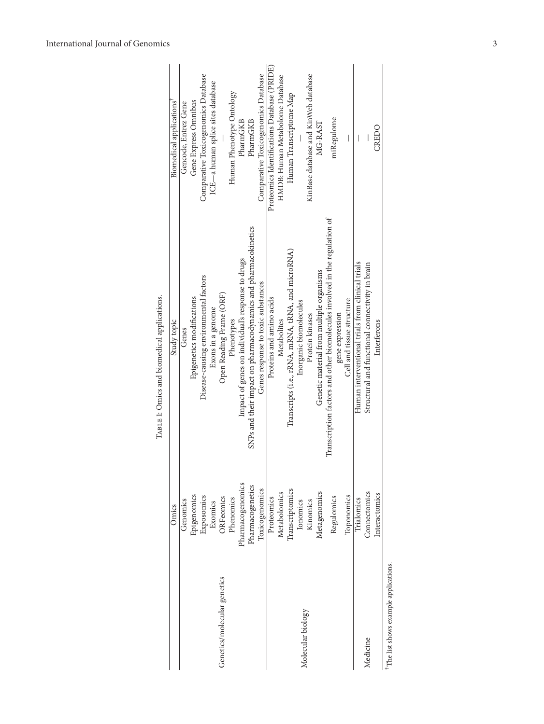|                                      | Omics            | Study topic                                                                | Biomedical applications                     |
|--------------------------------------|------------------|----------------------------------------------------------------------------|---------------------------------------------|
|                                      | Genomics         | Genes                                                                      | Gencode, Entrez Gene                        |
|                                      | Epigenomics      | Epigenetics modifications                                                  | Gene Express Omnibus                        |
|                                      | Exposomics       | Disease-causing environmental factors                                      | Comparative Toxicogenomics Database         |
|                                      | Exomics          | Exons in a genome                                                          | ICE-a human splice sites database           |
| Genetics/molecular genetics          | ORFeomics        | Open Reading Frame (ORF)                                                   |                                             |
|                                      | Phenomics        | Phenotypes                                                                 | Human Phenotype Ontology                    |
|                                      | Pharmacogenomics | Impact of genes on individual's response to drugs                          | PharmGKB                                    |
|                                      | Pharmacogenetics | SNPs and their impact on pharmacodynamics and pharmacokinetics             | PharmGKB                                    |
|                                      | Toxicogenomics   | Genes response to toxic substances                                         | Comparative Toxicogenomics Database         |
|                                      | Proteomics       | Proteins and amino acids                                                   | Proteomics Identifications Database (PRIDE) |
|                                      | Metabolomics     | Metabolites                                                                | HMDB: Human Metabolome Database             |
|                                      | Transcriptomics  | Transcripts (i.e., rRNA, mRNA, tRNA, and microRNA)                         | Human Transcriptome Map                     |
| Molecular biology                    | Ionomics         | Inorganic biomolecules                                                     |                                             |
|                                      | Kinomics         | Protein kinases                                                            | KinBase database and KinWeb database        |
|                                      | Metagenomics     | Genetic material from multiple organisms                                   | MG-RAST                                     |
|                                      | Regulomics       | Transcription factors and other biomolecules involved in the regulation of | miRegulome                                  |
|                                      |                  | gene expression                                                            |                                             |
|                                      | Toponomics       | Cell and tissue structure                                                  | I                                           |
|                                      | Trialomics       | Human interventional trials from clinical trials                           |                                             |
| Medicine                             | Connectomics     | Structural and functional connectivity in brain                            |                                             |
|                                      | Interactomics    | Interferons                                                                | CREDO                                       |
| The list shows example applications. |                  |                                                                            |                                             |

<span id="page-2-0"></span>TABLE 1: Omics and biomedical applications. TABLE 1: Omics and biomedical applications.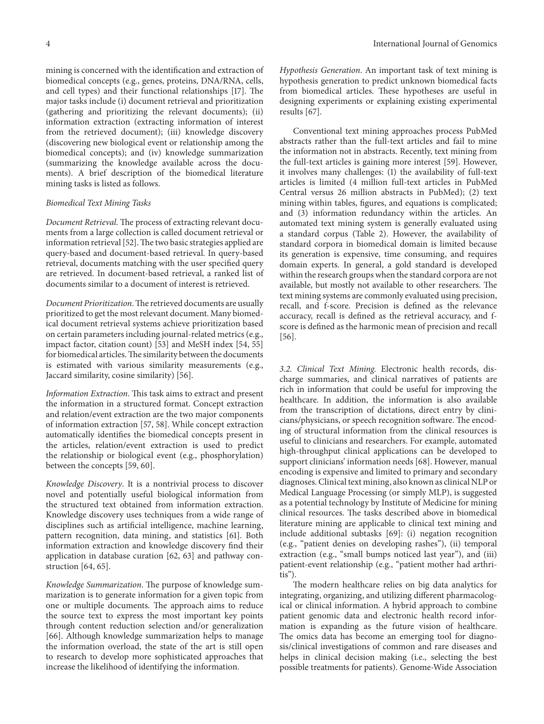mining is concerned with the identification and extraction of biomedical concepts (e.g., genes, proteins, DNA/RNA, cells, and cell types) and their functional relationships [\[17](#page-6-14)]. The major tasks include (i) document retrieval and prioritization (gathering and prioritizing the relevant documents); (ii) information extraction (extracting information of interest from the retrieved document); (iii) knowledge discovery (discovering new biological event or relationship among the biomedical concepts); and (iv) knowledge summarization (summarizing the knowledge available across the documents). A brief description of the biomedical literature mining tasks is listed as follows.

#### *Biomedical Text Mining Tasks*

*Document Retrieval*. The process of extracting relevant documents from a large collection is called document retrieval or information retrieval [\[52\]](#page-7-20). The two basic strategies applied are query-based and document-based retrieval. In query-based retrieval, documents matching with the user specified query are retrieved. In document-based retrieval, a ranked list of documents similar to a document of interest is retrieved.

*Document Prioritization*.The retrieved documents are usually prioritized to get the most relevant document. Many biomedical document retrieval systems achieve prioritization based on certain parameters including journal-related metrics (e.g., impact factor, citation count) [\[53](#page-7-21)] and MeSH index [\[54](#page-8-0), [55](#page-8-1)] for biomedical articles.The similarity between the documents is estimated with various similarity measurements (e.g., Jaccard similarity, cosine similarity) [\[56\]](#page-8-2).

*Information Extraction*. This task aims to extract and present the information in a structured format. Concept extraction and relation/event extraction are the two major components of information extraction [\[57](#page-8-3), [58](#page-8-4)]. While concept extraction automatically identifies the biomedical concepts present in the articles, relation/event extraction is used to predict the relationship or biological event (e.g., phosphorylation) between the concepts [\[59,](#page-8-5) [60](#page-8-6)].

*Knowledge Discovery*. It is a nontrivial process to discover novel and potentially useful biological information from the structured text obtained from information extraction. Knowledge discovery uses techniques from a wide range of disciplines such as artificial intelligence, machine learning, pattern recognition, data mining, and statistics [\[61](#page-8-7)]. Both information extraction and knowledge discovery find their application in database curation [\[62](#page-8-8), [63](#page-8-9)] and pathway construction [\[64,](#page-8-10) [65](#page-8-11)].

*Knowledge Summarization*. The purpose of knowledge summarization is to generate information for a given topic from one or multiple documents. The approach aims to reduce the source text to express the most important key points through content reduction selection and/or generalization [\[66\]](#page-8-12). Although knowledge summarization helps to manage the information overload, the state of the art is still open to research to develop more sophisticated approaches that increase the likelihood of identifying the information.

*Hypothesis Generation*. An important task of text mining is hypothesis generation to predict unknown biomedical facts from biomedical articles. These hypotheses are useful in designing experiments or explaining existing experimental results [\[67\]](#page-8-13).

Conventional text mining approaches process PubMed abstracts rather than the full-text articles and fail to mine the information not in abstracts. Recently, text mining from the full-text articles is gaining more interest [\[59](#page-8-5)]. However, it involves many challenges: (1) the availability of full-text articles is limited (4 million full-text articles in PubMed Central versus 26 million abstracts in PubMed); (2) text mining within tables, figures, and equations is complicated; and (3) information redundancy within the articles. An automated text mining system is generally evaluated using a standard corpus (Table [2\)](#page-4-0). However, the availability of standard corpora in biomedical domain is limited because its generation is expensive, time consuming, and requires domain experts. In general, a gold standard is developed within the research groups when the standard corpora are not available, but mostly not available to other researchers. The text mining systems are commonly evaluated using precision, recall, and f-score. Precision is defined as the relevance accuracy, recall is defined as the retrieval accuracy, and fscore is defined as the harmonic mean of precision and recall [\[56\]](#page-8-2).

*3.2. Clinical Text Mining.* Electronic health records, discharge summaries, and clinical narratives of patients are rich in information that could be useful for improving the healthcare. In addition, the information is also available from the transcription of dictations, direct entry by clinicians/physicians, or speech recognition software. The encoding of structural information from the clinical resources is useful to clinicians and researchers. For example, automated high-throughput clinical applications can be developed to support clinicians' information needs [\[68\]](#page-8-14). However, manual encoding is expensive and limited to primary and secondary diagnoses. Clinical text mining, also known as clinical NLP or Medical Language Processing (or simply MLP), is suggested as a potential technology by Institute of Medicine for mining clinical resources. The tasks described above in biomedical literature mining are applicable to clinical text mining and include additional subtasks [\[69](#page-8-15)]: (i) negation recognition (e.g., "patient denies on developing rashes"), (ii) temporal extraction (e.g., "small bumps noticed last year"), and (iii) patient-event relationship (e.g., "patient mother had arthritis").

The modern healthcare relies on big data analytics for integrating, organizing, and utilizing different pharmacological or clinical information. A hybrid approach to combine patient genomic data and electronic health record information is expanding as the future vision of healthcare. The omics data has become an emerging tool for diagnosis/clinical investigations of common and rare diseases and helps in clinical decision making (i.e., selecting the best possible treatments for patients). Genome-Wide Association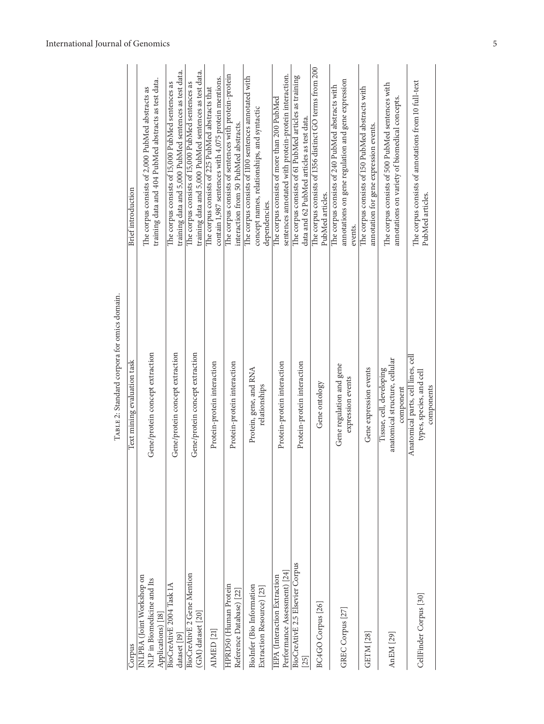| Corpus                                                                       | Text mining evaluation task                                                  | Brief introduction                                                                                                   |
|------------------------------------------------------------------------------|------------------------------------------------------------------------------|----------------------------------------------------------------------------------------------------------------------|
| NLPBA (Joint Workshop on<br>NLP in Biomedicine and Its<br>Applications) [18] | Gene/protein concept extraction                                              | training data and 404 PubMed abstracts as test data.<br>The corpus consists of 2,000 PubMed abstracts as             |
| BioCreAtivE 2004 Task 1A<br>dataset [19]                                     | Gene/protein concept extraction                                              | training data and 5,000 PubMed sentences as test data.<br>The corpus consists of 15,000 PubMed sentences as          |
| <b>BioCreAtivE 2 Gene Mention</b><br>(GM) dataset [20]                       | Gene/protein concept extraction                                              | training data and 5,000 PubMed sentences as test data.<br>The corpus consists of 15,000 PubMed sentences as          |
| AIMED [21]                                                                   | Protein-protein interaction                                                  | contain 1,987 sentences with 4,075 protein mentions.<br>The corpus consists of 225 PubMed abstracts that             |
| HPRD50 (Human Protein<br>Reference Database) [22]                            | Protein-protein interaction                                                  | The corpus consists of sentences with protein-protein<br>interaction from 50 PubMed abstracts.                       |
| BioInfer (Bio Information<br>Extraction Resource) [23]                       | Protein, gene, and RNA<br>relationships                                      | The corpus consists of 1100 sentences annotated with<br>concept names, relationships, and syntactic<br>dependencies. |
| Performance Assessment) [24]<br>IEPA (Interaction Extraction                 | Protein-protein interaction                                                  | sentences annotated with protein-protein interaction.<br>The corpus consists of more than 200 PubMed                 |
| BioCreAtivE 2.5 Elsevier Corpus<br>25                                        | Protein-protein interaction                                                  | The corpus consists of 61 PubMed articles as training<br>data and 62 PubMed articles as test data.                   |
| BC4GO Corpus [26]                                                            | Gene ontology                                                                | The corpus consists of 1356 distinct GO terms from 200<br>PubMed articles.                                           |
| GREC Corpus [27]                                                             | Gene regulation and gene<br>expression events                                | annotations on gene regulation and gene expression<br>The corpus consists of 240 PubMed abstracts with<br>events.    |
| GETM [28]                                                                    | Gene expression events                                                       | The corpus consists of 150 PubMed abstracts with<br>annotation for gene expression events.                           |
| AnEM [29]                                                                    | anatomical structure, cellular<br>Tissue, cell, developing<br>component      | The corpus consists of 500 PubMed sentences with<br>annotations on variety of biomedical concepts.                   |
| CellFinder Corpus <sup>[30]</sup>                                            | Anatomical parts, cell lines, cell<br>types, species, and cell<br>components | The corpus consists of annotations from 10 full-text<br>PubMed articles.                                             |

<span id="page-4-0"></span>TABLE 2: Standard corpora for omics domain. TABLE 2: Standard corpora for omics domain.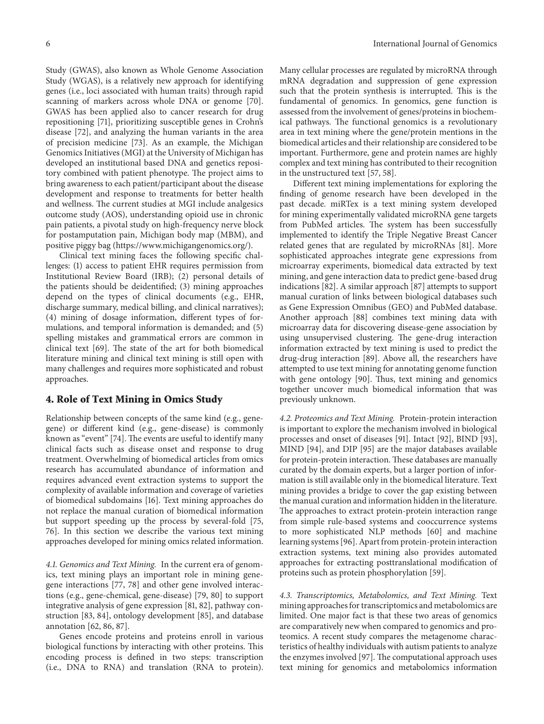Study (GWAS), also known as Whole Genome Association Study (WGAS), is a relatively new approach for identifying genes (i.e., loci associated with human traits) through rapid scanning of markers across whole DNA or genome [\[70\]](#page-8-16). GWAS has been applied also to cancer research for drug repositioning [\[71\]](#page-8-17), prioritizing susceptible genes in Crohn's disease [\[72\]](#page-8-18), and analyzing the human variants in the area of precision medicine [\[73](#page-8-19)]. As an example, the Michigan Genomics Initiatives (MGI) at the University of Michigan has developed an institutional based DNA and genetics repository combined with patient phenotype. The project aims to bring awareness to each patient/participant about the disease development and response to treatments for better health and wellness. The current studies at MGI include analgesics outcome study (AOS), understanding opioid use in chronic pain patients, a pivotal study on high-frequency nerve block for postamputation pain, Michigan body map (MBM), and positive piggy bag [\(https://www.michigangenomics.org/\)](https://www.michigangenomics.org/).

Clinical text mining faces the following specific challenges: (1) access to patient EHR requires permission from Institutional Review Board (IRB); (2) personal details of the patients should be deidentified; (3) mining approaches depend on the types of clinical documents (e.g., EHR, discharge summary, medical billing, and clinical narratives); (4) mining of dosage information, different types of formulations, and temporal information is demanded; and (5) spelling mistakes and grammatical errors are common in clinical text [\[69](#page-8-15)]. The state of the art for both biomedical literature mining and clinical text mining is still open with many challenges and requires more sophisticated and robust approaches.

# **4. Role of Text Mining in Omics Study**

Relationship between concepts of the same kind (e.g., genegene) or different kind (e.g., gene-disease) is commonly known as "event" [\[74\]](#page-8-20). The events are useful to identify many clinical facts such as disease onset and response to drug treatment. Overwhelming of biomedical articles from omics research has accumulated abundance of information and requires advanced event extraction systems to support the complexity of available information and coverage of varieties of biomedical subdomains [\[16\]](#page-6-13). Text mining approaches do not replace the manual curation of biomedical information but support speeding up the process by several-fold [\[75](#page-8-21), [76\]](#page-8-22). In this section we describe the various text mining approaches developed for mining omics related information.

*4.1. Genomics and Text Mining.* In the current era of genomics, text mining plays an important role in mining genegene interactions [\[77,](#page-8-23) [78\]](#page-8-24) and other gene involved interactions (e.g., gene-chemical, gene-disease) [\[79,](#page-8-25) [80](#page-8-26)] to support integrative analysis of gene expression [\[81](#page-8-27), [82](#page-8-28)], pathway construction [\[83](#page-8-29), [84\]](#page-8-30), ontology development [\[85](#page-8-31)], and database annotation [\[62](#page-8-8), [86,](#page-8-32) [87](#page-9-0)].

Genes encode proteins and proteins enroll in various biological functions by interacting with other proteins. This encoding process is defined in two steps: transcription (i.e., DNA to RNA) and translation (RNA to protein). Many cellular processes are regulated by microRNA through mRNA degradation and suppression of gene expression such that the protein synthesis is interrupted. This is the fundamental of genomics. In genomics, gene function is assessed from the involvement of genes/proteins in biochemical pathways. The functional genomics is a revolutionary area in text mining where the gene/protein mentions in the biomedical articles and their relationship are considered to be important. Furthermore, gene and protein names are highly complex and text mining has contributed to their recognition in the unstructured text [\[57,](#page-8-3) [58\]](#page-8-4).

Different text mining implementations for exploring the finding of genome research have been developed in the past decade. miRTex is a text mining system developed for mining experimentally validated microRNA gene targets from PubMed articles. The system has been successfully implemented to identify the Triple Negative Breast Cancer related genes that are regulated by microRNAs [\[81\]](#page-8-27). More sophisticated approaches integrate gene expressions from microarray experiments, biomedical data extracted by text mining, and gene interaction data to predict gene-based drug indications [\[82\]](#page-8-28). A similar approach [\[87\]](#page-9-0) attempts to support manual curation of links between biological databases such as Gene Expression Omnibus (GEO) and PubMed database. Another approach [\[88](#page-9-1)] combines text mining data with microarray data for discovering disease-gene association by using unsupervised clustering. The gene-drug interaction information extracted by text mining is used to predict the drug-drug interaction [\[89\]](#page-9-2). Above all, the researchers have attempted to use text mining for annotating genome function with gene ontology [\[90](#page-9-3)]. Thus, text mining and genomics together uncover much biomedical information that was previously unknown.

*4.2. Proteomics and Text Mining.* Protein-protein interaction is important to explore the mechanism involved in biological processes and onset of diseases [\[91\]](#page-9-4). Intact [\[92](#page-9-5)], BIND [\[93](#page-9-6)], MIND [\[94\]](#page-9-7), and DIP [\[95](#page-9-8)] are the major databases available for protein-protein interaction. These databases are manually curated by the domain experts, but a larger portion of information is still available only in the biomedical literature. Text mining provides a bridge to cover the gap existing between the manual curation and information hidden in the literature. The approaches to extract protein-protein interaction range from simple rule-based systems and cooccurrence systems to more sophisticated NLP methods [\[60\]](#page-8-6) and machine learning systems [\[96\]](#page-9-9). Apart from protein-protein interaction extraction systems, text mining also provides automated approaches for extracting posttranslational modification of proteins such as protein phosphorylation [\[59\]](#page-8-5).

*4.3. Transcriptomics, Metabolomics, and Text Mining.* Text mining approaches for transcriptomics and metabolomics are limited. One major fact is that these two areas of genomics are comparatively new when compared to genomics and proteomics. A recent study compares the metagenome characteristics of healthy individuals with autism patients to analyze the enzymes involved [\[97\]](#page-9-10). The computational approach uses text mining for genomics and metabolomics information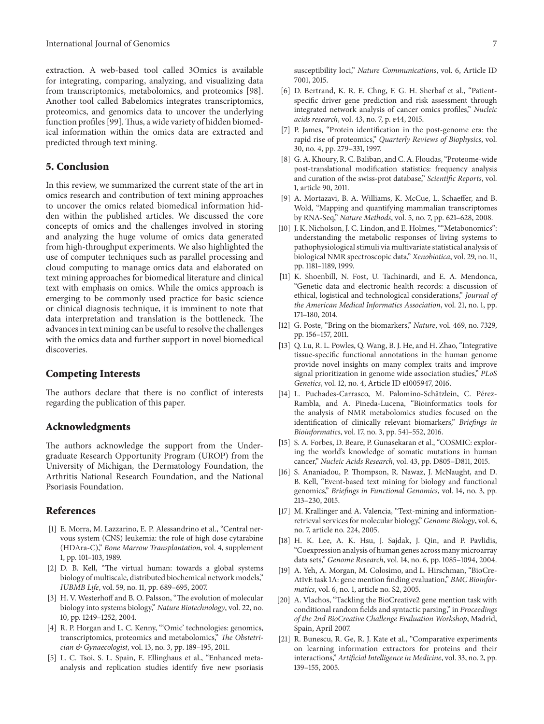extraction. A web-based tool called 3Omics is available for integrating, comparing, analyzing, and visualizing data from transcriptomics, metabolomics, and proteomics [\[98\]](#page-9-11). Another tool called Babelomics integrates transcriptomics, proteomics, and genomics data to uncover the underlying function profiles [\[99\]](#page-9-12).Thus, a wide variety of hidden biomedical information within the omics data are extracted and predicted through text mining.

# **5. Conclusion**

In this review, we summarized the current state of the art in omics research and contribution of text mining approaches to uncover the omics related biomedical information hidden within the published articles. We discussed the core concepts of omics and the challenges involved in storing and analyzing the huge volume of omics data generated from high-throughput experiments. We also highlighted the use of computer techniques such as parallel processing and cloud computing to manage omics data and elaborated on text mining approaches for biomedical literature and clinical text with emphasis on omics. While the omics approach is emerging to be commonly used practice for basic science or clinical diagnosis technique, it is imminent to note that data interpretation and translation is the bottleneck. The advances in text mining can be useful to resolve the challenges with the omics data and further support in novel biomedical discoveries.

### **Competing Interests**

The authors declare that there is no conflict of interests regarding the publication of this paper.

#### **Acknowledgments**

The authors acknowledge the support from the Undergraduate Research Opportunity Program (UROP) from the University of Michigan, the Dermatology Foundation, the Arthritis National Research Foundation, and the National Psoriasis Foundation.

# **References**

- <span id="page-6-0"></span>[1] E. Morra, M. Lazzarino, E. P. Alessandrino et al., "Central nervous system (CNS) leukemia: the role of high dose cytarabine (HDAra-C)," *Bone Marrow Transplantation*, vol. 4, supplement 1, pp. 101–103, 1989.
- [2] D. B. Kell, "The virtual human: towards a global systems biology of multiscale, distributed biochemical network models," *IUBMB Life*, vol. 59, no. 11, pp. 689–695, 2007.
- [3] H. V. Westerhoff and B. O. Palsson, "The evolution of molecular biology into systems biology," *Nature Biotechnology*, vol. 22, no. 10, pp. 1249–1252, 2004.
- <span id="page-6-1"></span>[4] R. P. Horgan and L. C. Kenny, "'Omic' technologies: genomics, transcriptomics, proteomics and metabolomics," *The Obstetrician & Gynaecologist*, vol. 13, no. 3, pp. 189–195, 2011.
- <span id="page-6-2"></span>[5] L. C. Tsoi, S. L. Spain, E. Ellinghaus et al., "Enhanced metaanalysis and replication studies identify five new psoriasis

susceptibility loci," *Nature Communications*, vol. 6, Article ID 7001, 2015.

- <span id="page-6-3"></span>[6] D. Bertrand, K. R. E. Chng, F. G. H. Sherbaf et al., "Patientspecific driver gene prediction and risk assessment through integrated network analysis of cancer omics profiles," *Nucleic acids research*, vol. 43, no. 7, p. e44, 2015.
- <span id="page-6-4"></span>[7] P. James, "Protein identification in the post-genome era: the rapid rise of proteomics," *Quarterly Reviews of Biophysics*, vol. 30, no. 4, pp. 279–331, 1997.
- <span id="page-6-5"></span>[8] G. A. Khoury, R. C. Baliban, and C. A. Floudas, "Proteome-wide post-translational modification statistics: frequency analysis and curation of the swiss-prot database," *Scientific Reports*, vol. 1, article 90, 2011.
- <span id="page-6-6"></span>[9] A. Mortazavi, B. A. Williams, K. McCue, L. Schaeffer, and B. Wold, "Mapping and quantifying mammalian transcriptomes by RNA-Seq," *Nature Methods*, vol. 5, no. 7, pp. 621–628, 2008.
- <span id="page-6-7"></span>[10] J. K. Nicholson, J. C. Lindon, and E. Holmes, ""Metabonomics": understanding the metabolic responses of living systems to pathophysiological stimuli via multivariate statistical analysis of biological NMR spectroscopic data," *Xenobiotica*, vol. 29, no. 11, pp. 1181–1189, 1999.
- <span id="page-6-8"></span>[11] K. Shoenbill, N. Fost, U. Tachinardi, and E. A. Mendonca, "Genetic data and electronic health records: a discussion of ethical, logistical and technological considerations," *Journal of the American Medical Informatics Association*, vol. 21, no. 1, pp. 171–180, 2014.
- <span id="page-6-9"></span>[12] G. Poste, "Bring on the biomarkers," *Nature*, vol. 469, no. 7329, pp. 156–157, 2011.
- <span id="page-6-10"></span>[13] Q. Lu, R. L. Powles, Q. Wang, B. J. He, and H. Zhao, "Integrative tissue-specific functional annotations in the human genome provide novel insights on many complex traits and improve signal prioritization in genome wide association studies," *PLoS Genetics*, vol. 12, no. 4, Article ID e1005947, 2016.
- <span id="page-6-11"></span>[14] L. Puchades-Carrasco, M. Palomino-Schätzlein, C. Pérez-Rambla, and A. Pineda-Lucena, "Bioinformatics tools for the analysis of NMR metabolomics studies focused on the identification of clinically relevant biomarkers," *Briefings in Bioinformatics*, vol. 17, no. 3, pp. 541–552, 2016.
- <span id="page-6-12"></span>[15] S. A. Forbes, D. Beare, P. Gunasekaran et al., "COSMIC: exploring the world's knowledge of somatic mutations in human cancer," *Nucleic Acids Research*, vol. 43, pp. D805–D811, 2015.
- <span id="page-6-13"></span>[16] S. Ananiadou, P. Thompson, R. Nawaz, J. McNaught, and D. B. Kell, "Event-based text mining for biology and functional genomics," *Briefings in Functional Genomics*, vol. 14, no. 3, pp. 213–230, 2015.
- <span id="page-6-14"></span>[17] M. Krallinger and A. Valencia, "Text-mining and informationretrieval services for molecular biology," *Genome Biology*, vol. 6, no. 7, article no. 224, 2005.
- <span id="page-6-15"></span>[18] H. K. Lee, A. K. Hsu, J. Sajdak, J. Qin, and P. Pavlidis, "Coexpression analysis of human genes across many microarray data sets," *Genome Research*, vol. 14, no. 6, pp. 1085–1094, 2004.
- <span id="page-6-16"></span>[19] A. Yeh, A. Morgan, M. Colosimo, and L. Hirschman, "BioCre-AtIvE task 1A: gene mention finding evaluation," *BMC Bioinformatics*, vol. 6, no. 1, article no. S2, 2005.
- <span id="page-6-17"></span>[20] A. Vlachos, "Tackling the BioCreative2 gene mention task with conditional random fields and syntactic parsing," in *Proceedings of the 2nd BioCreative Challenge Evaluation Workshop*, Madrid, Spain, April 2007.
- <span id="page-6-18"></span>[21] R. Bunescu, R. Ge, R. J. Kate et al., "Comparative experiments" on learning information extractors for proteins and their interactions," *Artificial Intelligence in Medicine*, vol. 33, no. 2, pp. 139–155, 2005.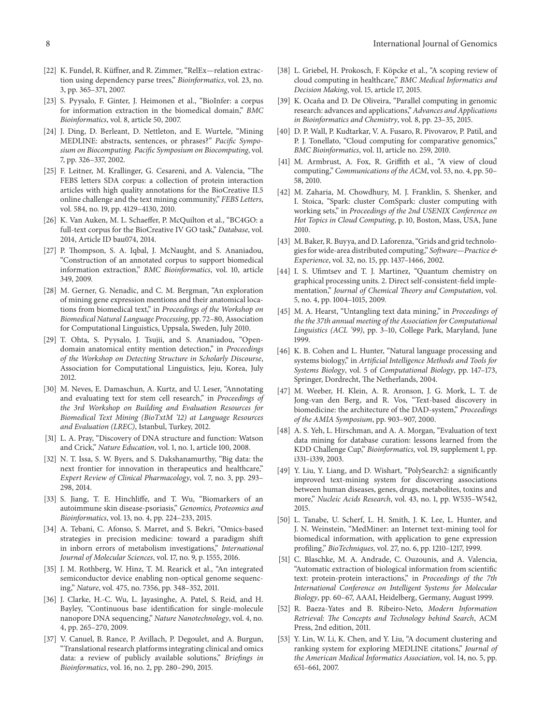- <span id="page-7-22"></span>[22] K. Fundel, R. Küffner, and R. Zimmer, "RelEx-relation extraction using dependency parse trees," *Bioinformatics*, vol. 23, no. 3, pp. 365–371, 2007.
- <span id="page-7-23"></span>[23] S. Pyysalo, F. Ginter, J. Heimonen et al., "BioInfer: a corpus for information extraction in the biomedical domain," *BMC Bioinformatics*, vol. 8, article 50, 2007.
- <span id="page-7-24"></span>[24] J. Ding, D. Berleant, D. Nettleton, and E. Wurtele, "Mining MEDLINE: abstracts, sentences, or phrases?" *Pacific Symposium on Biocomputing. Pacific Symposium on Biocomputing*, vol. 7, pp. 326–337, 2002.
- <span id="page-7-25"></span>[25] F. Leitner, M. Krallinger, G. Cesareni, and A. Valencia, "The FEBS letters SDA corpus: a collection of protein interaction articles with high quality annotations for the BioCreative II.5 online challenge and the text mining community," *FEBS Letters*, vol. 584, no. 19, pp. 4129–4130, 2010.
- <span id="page-7-26"></span>[26] K. Van Auken, M. L. Schaeffer, P. McQuilton et al., "BC4GO: a full-text corpus for the BioCreative IV GO task," *Database*, vol. 2014, Article ID bau074, 2014.
- <span id="page-7-27"></span>[27] P. Thompson, S. A. Iqbal, J. McNaught, and S. Ananiadou, "Construction of an annotated corpus to support biomedical information extraction," *BMC Bioinformatics*, vol. 10, article 349, 2009.
- <span id="page-7-28"></span>[28] M. Gerner, G. Nenadic, and C. M. Bergman, "An exploration of mining gene expression mentions and their anatomical locations from biomedical text," in *Proceedings of the Workshop on Biomedical Natural Language Processing*, pp. 72–80, Association for Computational Linguistics, Uppsala, Sweden, July 2010.
- <span id="page-7-29"></span>[29] T. Ohta, S. Pyysalo, J. Tsujii, and S. Ananiadou, "Opendomain anatomical entity mention detection," in *Proceedings of the Workshop on Detecting Structure in Scholarly Discourse*, Association for Computational Linguistics, Jeju, Korea, July 2012.
- <span id="page-7-30"></span>[30] M. Neves, E. Damaschun, A. Kurtz, and U. Leser, "Annotating and evaluating text for stem cell research," in *Proceedings of the 3rd Workshop on Building and Evaluation Resources for Biomedical Text Mining (BioTxtM '12) at Language Resources and Evaluation (LREC)*, Istanbul, Turkey, 2012.
- <span id="page-7-0"></span>[31] L. A. Pray, "Discovery of DNA structure and function: Watson and Crick," *Nature Education*, vol. 1, no. 1, article 100, 2008.
- <span id="page-7-1"></span>[32] N. T. Issa, S. W. Byers, and S. Dakshanamurthy, "Big data: the next frontier for innovation in therapeutics and healthcare," *Expert Review of Clinical Pharmacology*, vol. 7, no. 3, pp. 293– 298, 2014.
- [33] S. Jiang, T. E. Hinchliffe, and T. Wu, "Biomarkers of an autoimmune skin disease-psoriasis," *Genomics, Proteomics and Bioinformatics*, vol. 13, no. 4, pp. 224–233, 2015.
- <span id="page-7-2"></span>[34] A. Tebani, C. Afonso, S. Marret, and S. Bekri, "Omics-based strategies in precision medicine: toward a paradigm shift in inborn errors of metabolism investigations," *International Journal of Molecular Sciences*, vol. 17, no. 9, p. 1555, 2016.
- <span id="page-7-3"></span>[35] J. M. Rothberg, W. Hinz, T. M. Rearick et al., "An integrated semiconductor device enabling non-optical genome sequencing," *Nature*, vol. 475, no. 7356, pp. 348–352, 2011.
- <span id="page-7-4"></span>[36] J. Clarke, H.-C. Wu, L. Jayasinghe, A. Patel, S. Reid, and H. Bayley, "Continuous base identification for single-molecule nanopore DNA sequencing," *Nature Nanotechnology*, vol. 4, no. 4, pp. 265–270, 2009.
- <span id="page-7-5"></span>[37] V. Canuel, B. Rance, P. Avillach, P. Degoulet, and A. Burgun, "Translational research platforms integrating clinical and omics data: a review of publicly available solutions," *Briefings in Bioinformatics*, vol. 16, no. 2, pp. 280–290, 2015.
- <span id="page-7-6"></span>[38] L. Griebel, H. Prokosch, F. Köpcke et al., "A scoping review of cloud computing in healthcare," *BMC Medical Informatics and Decision Making*, vol. 15, article 17, 2015.
- <span id="page-7-7"></span>[39] K. Ocaña and D. De Oliveira, "Parallel computing in genomic research: advances and applications," *Advances and Applications in Bioinformatics and Chemistry*, vol. 8, pp. 23–35, 2015.
- <span id="page-7-8"></span>[40] D. P. Wall, P. Kudtarkar, V. A. Fusaro, R. Pivovarov, P. Patil, and P. J. Tonellato, "Cloud computing for comparative genomics," *BMC Bioinformatics*, vol. 11, article no. 259, 2010.
- <span id="page-7-9"></span>[41] M. Armbrust, A. Fox, R. Griffith et al., "A view of cloud computing," *Communications of the ACM*, vol. 53, no. 4, pp. 50– 58, 2010.
- <span id="page-7-10"></span>[42] M. Zaharia, M. Chowdhury, M. J. Franklin, S. Shenker, and I. Stoica, "Spark: cluster ComSpark: cluster computing with working sets," in *Proceedings of the 2nd USENIX Conference on Hot Topics in Cloud Computing*, p. 10, Boston, Mass, USA, June 2010.
- <span id="page-7-11"></span>[43] M. Baker, R. Buyya, and D. Laforenza, "Grids and grid technologies for wide-area distributed computing," *Software—Practice & Experience*, vol. 32, no. 15, pp. 1437–1466, 2002.
- <span id="page-7-12"></span>[44] I. S. Ufimtsev and T. J. Martinez, "Quantum chemistry on graphical processing units. 2. Direct self-consistent-field implementation," *Journal of Chemical Theory and Computation*, vol. 5, no. 4, pp. 1004–1015, 2009.
- <span id="page-7-13"></span>[45] M. A. Hearst, "Untangling text data mining," in *Proceedings of the the 37th annual meeting of the Association for Computational Linguistics (ACL '99)*, pp. 3–10, College Park, Maryland, June 1999.
- <span id="page-7-14"></span>[46] K. B. Cohen and L. Hunter, "Natural language processing and systems biology," in *Artificial Intelligence Methods and Tools for Systems Biology*, vol. 5 of *Computational Biology*, pp. 147–173, Springer, Dordrecht, The Netherlands, 2004.
- <span id="page-7-15"></span>[47] M. Weeber, H. Klein, A. R. Aronson, J. G. Mork, L. T. de Jong-van den Berg, and R. Vos, "Text-based discovery in biomedicine: the architecture of the DAD-system," *Proceedings of the AMIA Symposium*, pp. 903–907, 2000.
- <span id="page-7-16"></span>[48] A. S. Yeh, L. Hirschman, and A. A. Morgan, "Evaluation of text data mining for database curation: lessons learned from the KDD Challenge Cup," *Bioinformatics*, vol. 19, supplement 1, pp. i331–i339, 2003.
- <span id="page-7-17"></span>[49] Y. Liu, Y. Liang, and D. Wishart, "PolySearch2: a significantly improved text-mining system for discovering associations between human diseases, genes, drugs, metabolites, toxins and more," *Nucleic Acids Research*, vol. 43, no. 1, pp. W535–W542, 2015.
- <span id="page-7-18"></span>[50] L. Tanabe, U. Scherf, L. H. Smith, J. K. Lee, L. Hunter, and J. N. Weinstein, "MedMiner: an Internet text-mining tool for biomedical information, with application to gene expression profiling," *BioTechniques*, vol. 27, no. 6, pp. 1210–1217, 1999.
- <span id="page-7-19"></span>[51] C. Blaschke, M. A. Andrade, C. Ouzounis, and A. Valencia, "Automatic extraction of biological information from scientific text: protein-protein interactions," in *Proceedings of the 7th International Conference on Intelligent Systems for Molecular Biology*, pp. 60–67, AAAI, Heidelberg, Germany, August 1999.
- <span id="page-7-20"></span>[52] R. Baeza-Yates and B. Ribeiro-Neto, *Modern Information Retrieval: The Concepts and Technology behind Search*, ACM Press, 2nd edition, 2011.
- <span id="page-7-21"></span>[53] Y. Lin, W. Li, K. Chen, and Y. Liu, "A document clustering and ranking system for exploring MEDLINE citations," *Journal of the American Medical Informatics Association*, vol. 14, no. 5, pp. 651–661, 2007.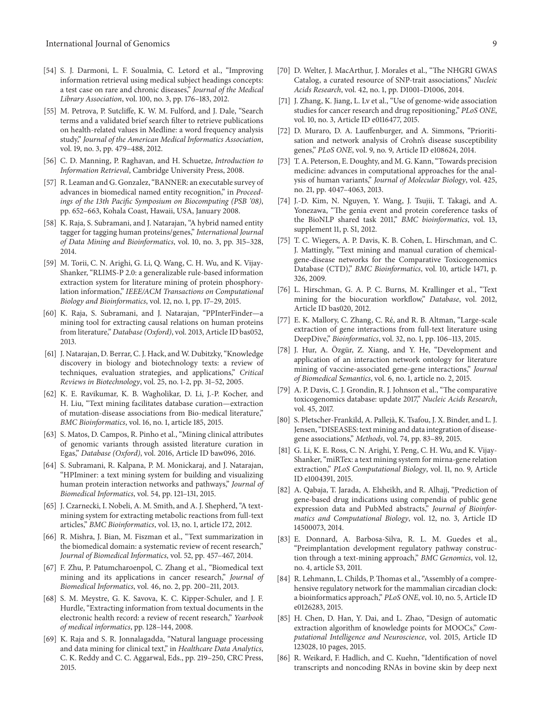- <span id="page-8-0"></span>[54] S. J. Darmoni, L. F. Soualmia, C. Letord et al., "Improving information retrieval using medical subject headings concepts: a test case on rare and chronic diseases," *Journal of the Medical Library Association*, vol. 100, no. 3, pp. 176–183, 2012.
- <span id="page-8-1"></span>[55] M. Petrova, P. Sutcliffe, K. W. M. Fulford, and J. Dale, "Search terms and a validated brief search filter to retrieve publications on health-related values in Medline: a word frequency analysis study," *Journal of the American Medical Informatics Association*, vol. 19, no. 3, pp. 479–488, 2012.
- <span id="page-8-2"></span>[56] C. D. Manning, P. Raghavan, and H. Schuetze, *Introduction to Information Retrieval*, Cambridge University Press, 2008.
- <span id="page-8-3"></span>[57] R. Leaman and G. Gonzalez, "BANNER: an executable survey of advances in biomedical named entity recognition," in *Proceedings of the 13th Pacific Symposium on Biocomputing (PSB '08)*, pp. 652–663, Kohala Coast, Hawaii, USA, January 2008.
- <span id="page-8-4"></span>[58] K. Raja, S. Subramani, and J. Natarajan, "A hybrid named entity tagger for tagging human proteins/genes," *International Journal of Data Mining and Bioinformatics*, vol. 10, no. 3, pp. 315–328, 2014.
- <span id="page-8-5"></span>[59] M. Torii, C. N. Arighi, G. Li, Q. Wang, C. H. Wu, and K. Vijay-Shanker, "RLIMS-P 2.0: a generalizable rule-based information extraction system for literature mining of protein phosphorylation information," *IEEE/ACM Transactions on Computational Biology and Bioinformatics*, vol. 12, no. 1, pp. 17–29, 2015.
- <span id="page-8-6"></span>[60] K. Raja, S. Subramani, and J. Natarajan, "PPInterFinder—a mining tool for extracting causal relations on human proteins from literature," *Database (Oxford)*, vol. 2013, Article ID bas052, 2013.
- <span id="page-8-7"></span>[61] J. Natarajan, D. Berrar, C. J. Hack, and W. Dubitzky, "Knowledge discovery in biology and biotechnology texts: a review of techniques, evaluation strategies, and applications," *Critical Reviews in Biotechnology*, vol. 25, no. 1-2, pp. 31–52, 2005.
- <span id="page-8-8"></span>[62] K. E. Ravikumar, K. B. Wagholikar, D. Li, J.-P. Kocher, and H. Liu, "Text mining facilitates database curation—extraction of mutation-disease associations from Bio-medical literature," *BMC Bioinformatics*, vol. 16, no. 1, article 185, 2015.
- <span id="page-8-9"></span>[63] S. Matos, D. Campos, R. Pinho et al., "Mining clinical attributes of genomic variants through assisted literature curation in Egas," *Database (Oxford)*, vol. 2016, Article ID baw096, 2016.
- <span id="page-8-10"></span>[64] S. Subramani, R. Kalpana, P. M. Monickaraj, and J. Natarajan, "HPIminer: a text mining system for building and visualizing human protein interaction networks and pathways," *Journal of Biomedical Informatics*, vol. 54, pp. 121–131, 2015.
- <span id="page-8-11"></span>[65] J. Czarnecki, I. Nobeli, A. M. Smith, and A. J. Shepherd, "A textmining system for extracting metabolic reactions from full-text articles," *BMC Bioinformatics*, vol. 13, no. 1, article 172, 2012.
- <span id="page-8-12"></span>[66] R. Mishra, J. Bian, M. Fiszman et al., "Text summarization in the biomedical domain: a systematic review of recent research," *Journal of Biomedical Informatics*, vol. 52, pp. 457–467, 2014.
- <span id="page-8-13"></span>[67] F. Zhu, P. Patumcharoenpol, C. Zhang et al., "Biomedical text mining and its applications in cancer research," *Journal of Biomedical Informatics*, vol. 46, no. 2, pp. 200–211, 2013.
- <span id="page-8-14"></span>[68] S. M. Meystre, G. K. Savova, K. C. Kipper-Schuler, and J. F. Hurdle, "Extracting information from textual documents in the electronic health record: a review of recent research," *Yearbook of medical informatics*, pp. 128–144, 2008.
- <span id="page-8-15"></span>[69] K. Raja and S. R. Jonnalagadda, "Natural language processing and data mining for clinical text," in *Healthcare Data Analytics*, C. K. Reddy and C. C. Aggarwal, Eds., pp. 219–250, CRC Press, 2015.
- <span id="page-8-16"></span>[70] D. Welter, J. MacArthur, J. Morales et al., "The NHGRI GWAS Catalog, a curated resource of SNP-trait associations," *Nucleic Acids Research*, vol. 42, no. 1, pp. D1001–D1006, 2014.
- <span id="page-8-17"></span>[71] J. Zhang, K. Jiang, L. Lv et al., "Use of genome-wide association studies for cancer research and drug repositioning," *PLoS ONE*, vol. 10, no. 3, Article ID e0116477, 2015.
- <span id="page-8-18"></span>[72] D. Muraro, D. A. Lauffenburger, and A. Simmons, "Prioritisation and network analysis of Crohn's disease susceptibility genes," *PLoS ONE*, vol. 9, no. 9, Article ID e108624, 2014.
- <span id="page-8-19"></span>[73] T. A. Peterson, E. Doughty, and M. G. Kann, "Towards precision medicine: advances in computational approaches for the analysis of human variants," *Journal of Molecular Biology*, vol. 425, no. 21, pp. 4047–4063, 2013.
- <span id="page-8-20"></span>[74] J.-D. Kim, N. Nguyen, Y. Wang, J. Tsujii, T. Takagi, and A. Yonezawa, "The genia event and protein coreference tasks of the BioNLP shared task 2011," *BMC bioinformatics*, vol. 13, supplement 11, p. S1, 2012.
- <span id="page-8-21"></span>[75] T. C. Wiegers, A. P. Davis, K. B. Cohen, L. Hirschman, and C. J. Mattingly, "Text mining and manual curation of chemicalgene-disease networks for the Comparative Toxicogenomics Database (CTD)," *BMC Bioinformatics*, vol. 10, article 1471, p. 326, 2009.
- <span id="page-8-22"></span>[76] L. Hirschman, G. A. P. C. Burns, M. Krallinger et al., "Text mining for the biocuration workflow," *Database*, vol. 2012, Article ID bas020, 2012.
- <span id="page-8-23"></span>[77] E. K. Mallory, C. Zhang, C. Ré, and R. B. Altman, "Large-scale extraction of gene interactions from full-text literature using DeepDive," *Bioinformatics*, vol. 32, no. 1, pp. 106–113, 2015.
- <span id="page-8-24"></span>[78] J. Hur, A. Özgür, Z. Xiang, and Y. He, "Development and application of an interaction network ontology for literature mining of vaccine-associated gene-gene interactions," *Journal of Biomedical Semantics*, vol. 6, no. 1, article no. 2, 2015.
- <span id="page-8-25"></span>[79] A. P. Davis, C. J. Grondin, R. J. Johnson et al., "The comparative toxicogenomics database: update 2017," *Nucleic Acids Research*, vol. 45, 2017.
- <span id="page-8-26"></span>[80] S. Pletscher-Frankild, A. Palleja, K. Tsafou, J. X. Binder, and L. J. ` Jensen, "DISEASES: text mining and data integration of diseasegene associations," *Methods*, vol. 74, pp. 83–89, 2015.
- <span id="page-8-27"></span>[81] G. Li, K. E. Ross, C. N. Arighi, Y. Peng, C. H. Wu, and K. Vijay-Shanker, "miRTex: a text mining system for mirna-gene relation extraction," *PLoS Computational Biology*, vol. 11, no. 9, Article ID e1004391, 2015.
- <span id="page-8-28"></span>[82] A. Qabaja, T. Jarada, A. Elsheikh, and R. Alhajj, "Prediction of gene-based drug indications using compendia of public gene expression data and PubMed abstracts," *Journal of Bioinformatics and Computational Biology*, vol. 12, no. 3, Article ID 14500073, 2014.
- <span id="page-8-29"></span>[83] E. Donnard, A. Barbosa-Silva, R. L. M. Guedes et al., "Preimplantation development regulatory pathway construction through a text-mining approach," *BMC Genomics*, vol. 12, no. 4, article S3, 2011.
- <span id="page-8-30"></span>[84] R. Lehmann, L. Childs, P. Thomas et al., "Assembly of a comprehensive regulatory network for the mammalian circadian clock: a bioinformatics approach," *PLoS ONE*, vol. 10, no. 5, Article ID e0126283, 2015.
- <span id="page-8-31"></span>[85] H. Chen, D. Han, Y. Dai, and L. Zhao, "Design of automatic extraction algorithm of knowledge points for MOOCs," *Computational Intelligence and Neuroscience*, vol. 2015, Article ID 123028, 10 pages, 2015.
- <span id="page-8-32"></span>[86] R. Weikard, F. Hadlich, and C. Kuehn, "Identification of novel transcripts and noncoding RNAs in bovine skin by deep next